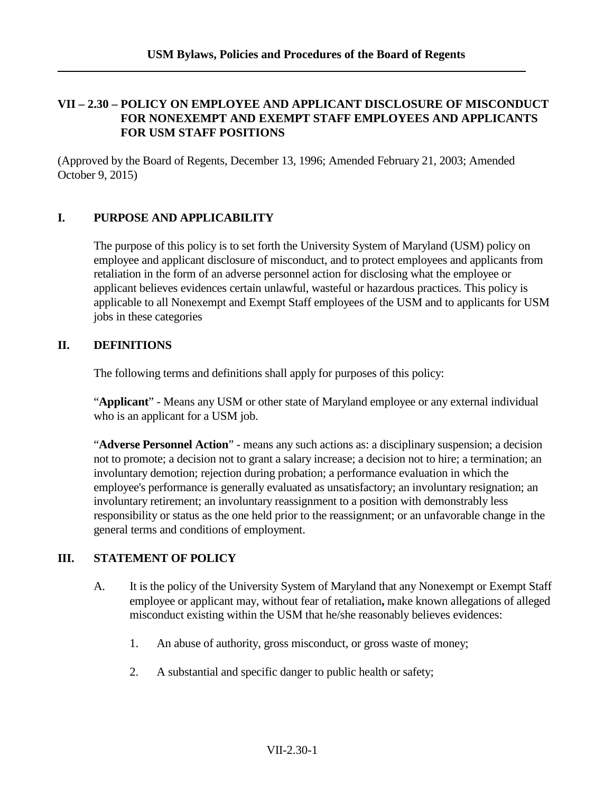### **VII – 2.30 – POLICY ON EMPLOYEE AND APPLICANT DISCLOSURE OF MISCONDUCT FOR NONEXEMPT AND EXEMPT STAFF EMPLOYEES AND APPLICANTS FOR USM STAFF POSITIONS**

(Approved by the Board of Regents, December 13, 1996; Amended February 21, 2003; Amended October 9, 2015)

### **I. PURPOSE AND APPLICABILITY**

The purpose of this policy is to set forth the University System of Maryland (USM) policy on employee and applicant disclosure of misconduct, and to protect employees and applicants from retaliation in the form of an adverse personnel action for disclosing what the employee or applicant believes evidences certain unlawful, wasteful or hazardous practices. This policy is applicable to all Nonexempt and Exempt Staff employees of the USM and to applicants for USM jobs in these categories

### **II. DEFINITIONS**

The following terms and definitions shall apply for purposes of this policy:

"**Applicant**" - Means any USM or other state of Maryland employee or any external individual who is an applicant for a USM job.

"**Adverse Personnel Action**" - means any such actions as: a disciplinary suspension; a decision not to promote; a decision not to grant a salary increase; a decision not to hire; a termination; an involuntary demotion; rejection during probation; a performance evaluation in which the employee's performance is generally evaluated as unsatisfactory; an involuntary resignation; an involuntary retirement; an involuntary reassignment to a position with demonstrably less responsibility or status as the one held prior to the reassignment; or an unfavorable change in the general terms and conditions of employment.

# **III. STATEMENT OF POLICY**

- A. It is the policy of the University System of Maryland that any Nonexempt or Exempt Staff employee or applicant may, without fear of retaliation**,** make known allegations of alleged misconduct existing within the USM that he/she reasonably believes evidences:
	- 1. An abuse of authority, gross misconduct, or gross waste of money;
	- 2. A substantial and specific danger to public health or safety;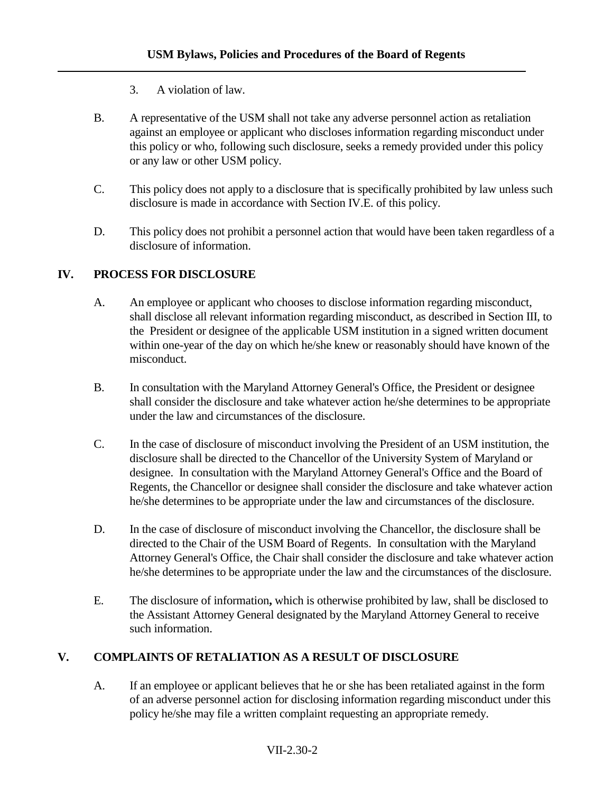- 3. A violation of law.
- B. A representative of the USM shall not take any adverse personnel action as retaliation against an employee or applicant who discloses information regarding misconduct under this policy or who, following such disclosure, seeks a remedy provided under this policy or any law or other USM policy.
- C. This policy does not apply to a disclosure that is specifically prohibited by law unless such disclosure is made in accordance with Section IV.E. of this policy.
- D. This policy does not prohibit a personnel action that would have been taken regardless of a disclosure of information.

## **IV. PROCESS FOR DISCLOSURE**

- A. An employee or applicant who chooses to disclose information regarding misconduct, shall disclose all relevant information regarding misconduct, as described in Section III, to the President or designee of the applicable USM institution in a signed written document within one-year of the day on which he/she knew or reasonably should have known of the misconduct.
- B. In consultation with the Maryland Attorney General's Office, the President or designee shall consider the disclosure and take whatever action he/she determines to be appropriate under the law and circumstances of the disclosure.
- C. In the case of disclosure of misconduct involving the President of an USM institution, the disclosure shall be directed to the Chancellor of the University System of Maryland or designee. In consultation with the Maryland Attorney General's Office and the Board of Regents, the Chancellor or designee shall consider the disclosure and take whatever action he/she determines to be appropriate under the law and circumstances of the disclosure.
- D. In the case of disclosure of misconduct involving the Chancellor, the disclosure shall be directed to the Chair of the USM Board of Regents. In consultation with the Maryland Attorney General's Office, the Chair shall consider the disclosure and take whatever action he/she determines to be appropriate under the law and the circumstances of the disclosure.
- E. The disclosure of information**,** which is otherwise prohibited by law, shall be disclosed to the Assistant Attorney General designated by the Maryland Attorney General to receive such information.

# **V. COMPLAINTS OF RETALIATION AS A RESULT OF DISCLOSURE**

A. If an employee or applicant believes that he or she has been retaliated against in the form of an adverse personnel action for disclosing information regarding misconduct under this policy he/she may file a written complaint requesting an appropriate remedy.